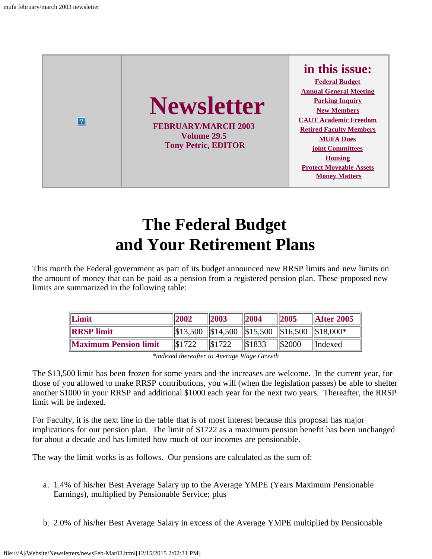

## **The Federal Budget and Your Retirement Plans**

<span id="page-0-0"></span>This month the Federal government as part of its budget announced new RRSP limits and new limits on the amount of money that can be paid as a pension from a registered pension plan. These proposed new limits are summarized in the following table:

| Limit                        | 2002   | $\vert$ 2003                                              | $\parallel$ 2004 | $\parallel$ 2005 | $\parallel$ After 2005 |
|------------------------------|--------|-----------------------------------------------------------|------------------|------------------|------------------------|
| <b>IRRSP</b> limit           |        | $\ \$13,500\  \$14,500\  \$15,500\  \$16,500\  \$18,000*$ |                  |                  |                        |
| <b>Maximum Pension limit</b> | \$1722 | $\frac{1}{31722}$                                         | \$1833           | $\frac{1}{2000}$ | <i>llndexed</i>        |

*\*indexed thereafter to Average Wage Growth*

The \$13,500 limit has been frozen for some years and the increases are welcome. In the current year, for those of you allowed to make RRSP contributions, you will (when the legislation passes) be able to shelter another \$1000 in your RRSP and additional \$1000 each year for the next two years. Thereafter, the RRSP limit will be indexed.

For Faculty, it is the next line in the table that is of most interest because this proposal has major implications for our pension plan. The limit of \$1722 as a maximum pension benefit has been unchanged for about a decade and has limited how much of our incomes are pensionable.

The way the limit works is as follows. Our pensions are calculated as the sum of:

- a. 1.4% of his/her Best Average Salary up to the Average YMPE (Years Maximum Pensionable Earnings), multiplied by Pensionable Service; plus
- b. 2.0% of his/her Best Average Salary in excess of the Average YMPE multiplied by Pensionable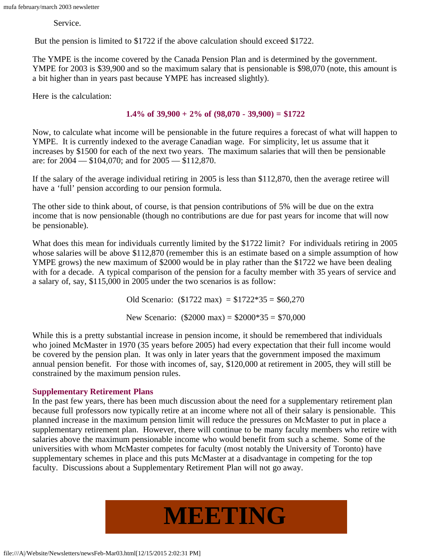Service.

But the pension is limited to \$1722 if the above calculation should exceed \$1722.

The YMPE is the income covered by the Canada Pension Plan and is determined by the government. YMPE for 2003 is \$39,900 and so the maximum salary that is pensionable is \$98,070 (note, this amount is a bit higher than in years past because YMPE has increased slightly).

Here is the calculation:

#### **1.4% of 39,900 + 2% of (98,070 - 39,900) = \$1722**

Now, to calculate what income will be pensionable in the future requires a forecast of what will happen to YMPE. It is currently indexed to the average Canadian wage. For simplicity, let us assume that it increases by \$1500 for each of the next two years. The maximum salaries that will then be pensionable are: for 2004 — \$104,070; and for 2005 — \$112,870.

If the salary of the average individual retiring in 2005 is less than \$112,870, then the average retiree will have a 'full' pension according to our pension formula.

The other side to think about, of course, is that pension contributions of 5% will be due on the extra income that is now pensionable (though no contributions are due for past years for income that will now be pensionable).

What does this mean for individuals currently limited by the \$1722 limit? For individuals retiring in 2005 whose salaries will be above \$112,870 (remember this is an estimate based on a simple assumption of how YMPE grows) the new maximum of \$2000 would be in play rather than the \$1722 we have been dealing with for a decade. A typical comparison of the pension for a faculty member with 35 years of service and a salary of, say, \$115,000 in 2005 under the two scenarios is as follow:

> Old Scenario:  $(\$1722 \text{ max}) = \$1722*35 = \$60,270$ New Scenario:  $(\$2000 \text{ max}) = \$2000*35 = \$70,000$

While this is a pretty substantial increase in pension income, it should be remembered that individuals who joined McMaster in 1970 (35 years before 2005) had every expectation that their full income would be covered by the pension plan. It was only in later years that the government imposed the maximum annual pension benefit. For those with incomes of, say, \$120,000 at retirement in 2005, they will still be constrained by the maximum pension rules.

#### **Supplementary Retirement Plans**

<span id="page-1-0"></span>In the past few years, there has been much discussion about the need for a supplementary retirement plan because full professors now typically retire at an income where not all of their salary is pensionable. This planned increase in the maximum pension limit will reduce the pressures on McMaster to put in place a supplementary retirement plan. However, there will continue to be many faculty members who retire with salaries above the maximum pensionable income who would benefit from such a scheme. Some of the universities with whom McMaster competes for faculty (most notably the University of Toronto) have supplementary schemes in place and this puts McMaster at a disadvantage in competing for the top faculty. Discussions about a Supplementary Retirement Plan will not go away.

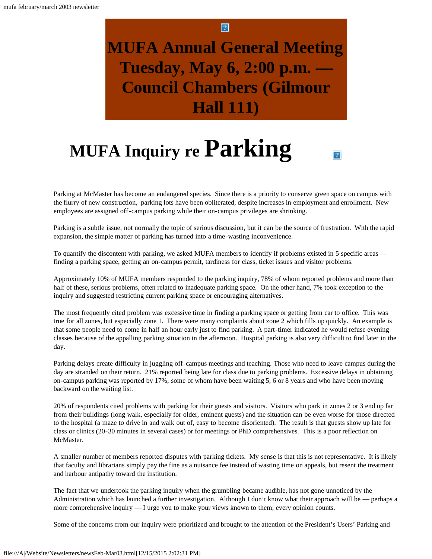## **MUFA Annual General Meeting Tuesday, May 6, 2:00 p.m. — Council Chambers (Gilmour Hall 111)**

## **MUFA Inquiry re Parking**

<span id="page-2-0"></span>Parking at McMaster has become an endangered species. Since there is a priority to conserve green space on campus with the flurry of new construction, parking lots have been obliterated, despite increases in employment and enrollment. New employees are assigned off-campus parking while their on-campus privileges are shrinking.

 $\overline{?}$ 

Parking is a subtle issue, not normally the topic of serious discussion, but it can be the source of frustration. With the rapid expansion, the simple matter of parking has turned into a time-wasting inconvenience.

To quantify the discontent with parking, we asked MUFA members to identify if problems existed in 5 specific areas finding a parking space, getting an on-campus permit, tardiness for class, ticket issues and visitor problems.

Approximately 10% of MUFA members responded to the parking inquiry, 78% of whom reported problems and more than half of these, serious problems, often related to inadequate parking space. On the other hand, 7% took exception to the inquiry and suggested restricting current parking space or encouraging alternatives.

The most frequently cited problem was excessive time in finding a parking space or getting from car to office. This was true for all zones, but especially zone 1. There were many complaints about zone 2 which fills up quickly. An example is that some people need to come in half an hour early just to find parking. A part-timer indicated he would refuse evening classes because of the appalling parking situation in the afternoon. Hospital parking is also very difficult to find later in the day.

Parking delays create difficulty in juggling off-campus meetings and teaching. Those who need to leave campus during the day are stranded on their return. 21% reported being late for class due to parking problems. Excessive delays in obtaining on-campus parking was reported by 17%, some of whom have been waiting 5, 6 or 8 years and who have been moving backward on the waiting list.

20% of respondents cited problems with parking for their guests and visitors. Visitors who park in zones 2 or 3 end up far from their buildings (long walk, especially for older, eminent guests) and the situation can be even worse for those directed to the hospital (a maze to drive in and walk out of, easy to become disoriented). The result is that guests show up late for class or clinics (20-30 minutes in several cases) or for meetings or PhD comprehensives. This is a poor reflection on McMaster.

A smaller number of members reported disputes with parking tickets. My sense is that this is not representative. It is likely that faculty and librarians simply pay the fine as a nuisance fee instead of wasting time on appeals, but resent the treatment and harbour antipathy toward the institution.

The fact that we undertook the parking inquiry when the grumbling became audible, has not gone unnoticed by the Administration which has launched a further investigation. Although I don't know what their approach will be — perhaps a more comprehensive inquiry — I urge you to make your views known to them; every opinion counts.

Some of the concerns from our inquiry were prioritized and brought to the attention of the President's Users' Parking and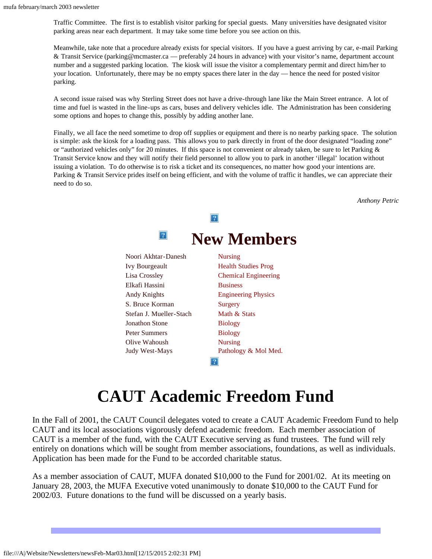Traffic Committee. The first is to establish visitor parking for special guests. Many universities have designated visitor parking areas near each department. It may take some time before you see action on this.

Meanwhile, take note that a procedure already exists for special visitors. If you have a guest arriving by car, e-mail Parking & Transit Service (parking@mcmaster.ca — preferably 24 hours in advance) with your visitor's name, department account number and a suggested parking location. The kiosk will issue the visitor a complementary permit and direct him/her to your location. Unfortunately, there may be no empty spaces there later in the day — hence the need for posted visitor parking.

A second issue raised was why Sterling Street does not have a drive-through lane like the Main Street entrance. A lot of time and fuel is wasted in the line-ups as cars, buses and delivery vehicles idle. The Administration has been considering some options and hopes to change this, possibly by adding another lane.

<span id="page-3-0"></span>Finally, we all face the need sometime to drop off supplies or equipment and there is no nearby parking space. The solution is simple: ask the kiosk for a loading pass. This allows you to park directly in front of the door designated "loading zone" or "authorized vehicles only" for 20 minutes. If this space is not convenient or already taken, be sure to let Parking & Transit Service know and they will notify their field personnel to allow you to park in another 'illegal' location without issuing a violation. To do otherwise is to risk a ticket and its consequences, no matter how good your intentions are. Parking & Transit Service prides itself on being efficient, and with the volume of traffic it handles, we can appreciate their need to do so.

*Anthony Petric*



## **CAUT Academic Freedom Fund**

<span id="page-3-1"></span>In the Fall of 2001, the CAUT Council delegates voted to create a CAUT Academic Freedom Fund to help CAUT and its local associations vigorously defend academic freedom. Each member association of CAUT is a member of the fund, with the CAUT Executive serving as fund trustees. The fund will rely entirely on donations which will be sought from member associations, foundations, as well as individuals. Application has been made for the Fund to be accorded charitable status.

As a member association of CAUT, MUFA donated \$10,000 to the Fund for 2001/02. At its meeting on January 28, 2003, the MUFA Executive voted unanimously to donate \$10,000 to the CAUT Fund for 2002/03. Future donations to the fund will be discussed on a yearly basis.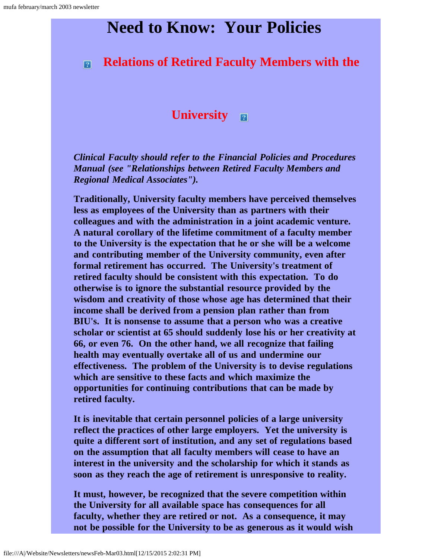## **Need to Know: Your Policies**

#### <span id="page-4-0"></span>**Relations of Retired Faculty Members with the**  $\boxed{2}$

#### **University**

*Clinical Faculty should refer to the Financial Policies and Procedures Manual (see "Relationships between Retired Faculty Members and Regional Medical Associates").*

**Traditionally, University faculty members have perceived themselves less as employees of the University than as partners with their colleagues and with the administration in a joint academic venture. A natural corollary of the lifetime commitment of a faculty member to the University is the expectation that he or she will be a welcome and contributing member of the University community, even after formal retirement has occurred. The University's treatment of retired faculty should be consistent with this expectation. To do otherwise is to ignore the substantial resource provided by the wisdom and creativity of those whose age has determined that their income shall be derived from a pension plan rather than from BIU's. It is nonsense to assume that a person who was a creative scholar or scientist at 65 should suddenly lose his or her creativity at 66, or even 76. On the other hand, we all recognize that failing health may eventually overtake all of us and undermine our effectiveness. The problem of the University is to devise regulations which are sensitive to these facts and which maximize the opportunities for continuing contributions that can be made by retired faculty.**

**It is inevitable that certain personnel policies of a large university reflect the practices of other large employers. Yet the university is quite a different sort of institution, and any set of regulations based on the assumption that all faculty members will cease to have an interest in the university and the scholarship for which it stands as soon as they reach the age of retirement is unresponsive to reality.**

**It must, however, be recognized that the severe competition within the University for all available space has consequences for all faculty, whether they are retired or not. As a consequence, it may not be possible for the University to be as generous as it would wish**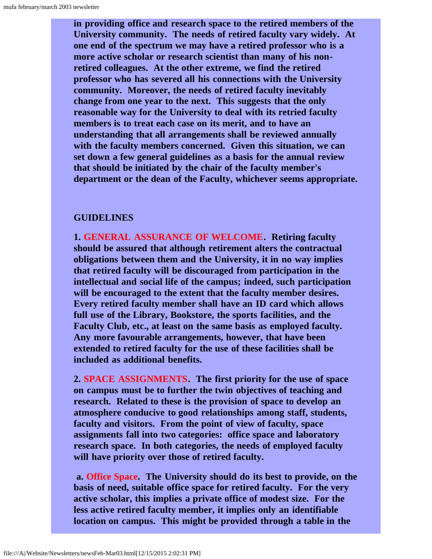**in providing office and research space to the retired members of the University community. The needs of retired faculty vary widely. At one end of the spectrum we may have a retired professor who is a more active scholar or research scientist than many of his nonretired colleagues. At the other extreme, we find the retired professor who has severed all his connections with the University community. Moreover, the needs of retired faculty inevitably change from one year to the next. This suggests that the only reasonable way for the University to deal with its retried faculty members is to treat each case on its merit, and to have an understanding that all arrangements shall be reviewed annually with the faculty members concerned. Given this situation, we can set down a few general guidelines as a basis for the annual review that should be initiated by the chair of the faculty member's department or the dean of the Faculty, whichever seems appropriate.**

#### **GUIDELINES**

**1. GENERAL ASSURANCE OF WELCOME. Retiring faculty should be assured that although retirement alters the contractual obligations between them and the University, it in no way implies that retired faculty will be discouraged from participation in the intellectual and social life of the campus; indeed, such participation will be encouraged to the extent that the faculty member desires. Every retired faculty member shall have an ID card which allows full use of the Library, Bookstore, the sports facilities, and the Faculty Club, etc., at least on the same basis as employed faculty. Any more favourable arrangements, however, that have been extended to retired faculty for the use of these facilities shall be included as additional benefits.**

**2. SPACE ASSIGNMENTS. The first priority for the use of space on campus must be to further the twin objectives of teaching and research. Related to these is the provision of space to develop an atmosphere conducive to good relationships among staff, students, faculty and visitors. From the point of view of faculty, space assignments fall into two categories: office space and laboratory research space. In both categories, the needs of employed faculty will have priority over those of retired faculty.**

**a. Office Space. The University should do its best to provide, on the basis of need, suitable office space for retired faculty. For the very active scholar, this implies a private office of modest size. For the less active retired faculty member, it implies only an identifiable location on campus. This might be provided through a table in the**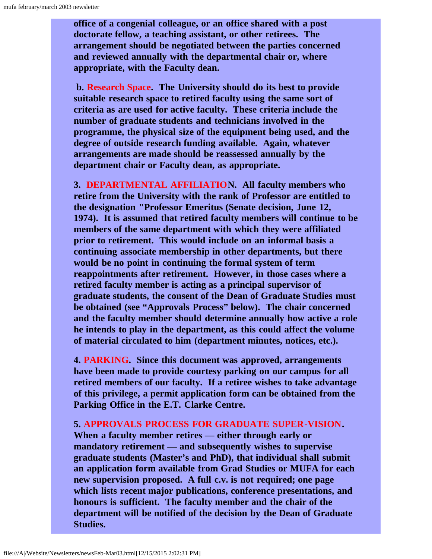**office of a congenial colleague, or an office shared with a post doctorate fellow, a teaching assistant, or other retirees. The arrangement should be negotiated between the parties concerned and reviewed annually with the departmental chair or, where appropriate, with the Faculty dean.**

**b. Research Space. The University should do its best to provide suitable research space to retired faculty using the same sort of criteria as are used for active faculty. These criteria include the number of graduate students and technicians involved in the programme, the physical size of the equipment being used, and the degree of outside research funding available. Again, whatever arrangements are made should be reassessed annually by the department chair or Faculty dean, as appropriate.**

**3. DEPARTMENTAL AFFILIATION. All faculty members who retire from the University with the rank of Professor are entitled to the designation "Professor Emeritus (Senate decision, June 12, 1974). It is assumed that retired faculty members will continue to be members of the same department with which they were affiliated prior to retirement. This would include on an informal basis a continuing associate membership in other departments, but there would be no point in continuing the formal system of term reappointments after retirement. However, in those cases where a retired faculty member is acting as a principal supervisor of graduate students, the consent of the Dean of Graduate Studies must be obtained (see "Approvals Process" below). The chair concerned and the faculty member should determine annually how active a role he intends to play in the department, as this could affect the volume of material circulated to him (department minutes, notices, etc.).**

**4. PARKING. Since this document was approved, arrangements have been made to provide courtesy parking on our campus for all retired members of our faculty. If a retiree wishes to take advantage of this privilege, a permit application form can be obtained from the Parking Office in the E.T. Clarke Centre.**

**5. APPROVALS PROCESS FOR GRADUATE SUPER-VISION.**

**When a faculty member retires — either through early or mandatory retirement — and subsequently wishes to supervise graduate students (Master's and PhD), that individual shall submit an application form available from Grad Studies or MUFA for each new supervision proposed. A full c.v. is not required; one page which lists recent major publications, conference presentations, and honours is sufficient. The faculty member and the chair of the department will be notified of the decision by the Dean of Graduate Studies.**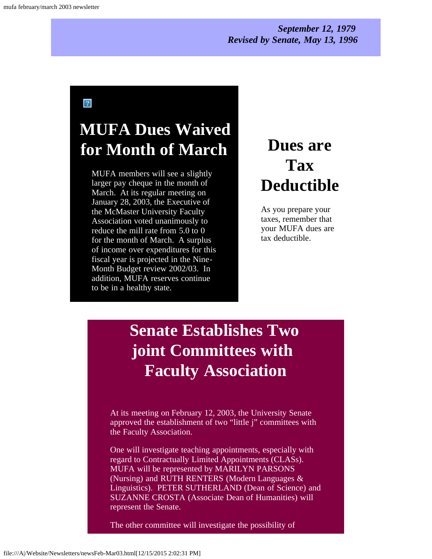#### *September 12, 1979 Revised by Senate, May 13, 1996*

 $\overline{?}$ 

## <span id="page-7-0"></span>**MUFA Dues Waived for Month of March**

MUFA members will see a slightly larger pay cheque in the month of March. At its regular meeting on January 28, 2003, the Executive of the McMaster University Faculty Association voted unanimously to reduce the mill rate from 5.0 to 0 for the month of March. A surplus of income over expenditures for this fiscal year is projected in the Nine-Month Budget review 2002/03. In addition, MUFA reserves continue to be in a healthy state.

## **Dues are Tax Deductible**

As you prepare your taxes, remember that your MUFA dues are tax deductible.

## <span id="page-7-1"></span>**Senate Establishes Two joint Committees with Faculty Association**

At its meeting on February 12, 2003, the University Senate approved the establishment of two "little j" committees with the Faculty Association.

One will investigate teaching appointments, especially with regard to Contractually Limited Appointments (CLASs). MUFA will be represented by MARILYN PARSONS (Nursing) and RUTH RENTERS (Modern Languages & Linguistics). PETER SUTHERLAND (Dean of Science) and SUZANNE CROSTA (Associate Dean of Humanities) will represent the Senate.

The other committee will investigate the possibility of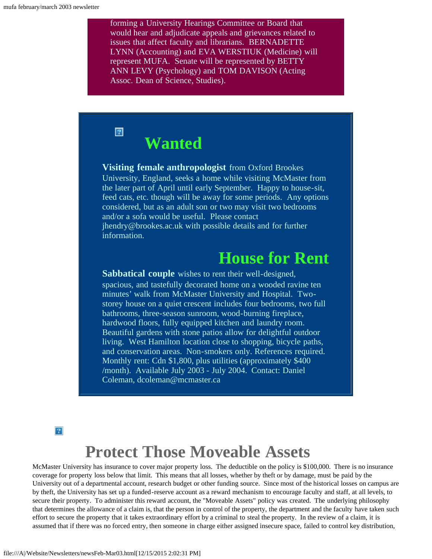forming a University Hearings Committee or Board that would hear and adjudicate appeals and grievances related to issues that affect faculty and librarians. BERNADETTE LYNN (Accounting) and EVA WERSTIUK (Medicine) will represent MUFA. Senate will be represented by BETTY ANN LEVY (Psychology) and TOM DAVISON (Acting Assoc. Dean of Science, Studies).

## **Wanted**

<span id="page-8-0"></span> $\vert 2 \vert$ 

**Visiting female anthropologist** from Oxford Brookes University, England, seeks a home while visiting McMaster from the later part of April until early September. Happy to house-sit, feed cats, etc. though will be away for some periods. Any options considered, but as an adult son or two may visit two bedrooms and/or a sofa would be useful. Please contact jhendry@brookes.ac.uk with possible details and for further information.

### **House for Rent**

**Sabbatical couple** wishes to rent their well-designed, spacious, and tastefully decorated home on a wooded ravine ten minutes' walk from McMaster University and Hospital. Twostorey house on a quiet crescent includes four bedrooms, two full bathrooms, three-season sunroom, wood-burning fireplace, hardwood floors, fully equipped kitchen and laundry room. Beautiful gardens with stone patios allow for delightful outdoor living. West Hamilton location close to shopping, bicycle paths, and conservation areas. Non-smokers only. References required. Monthly rent: Cdn \$1,800, plus utilities (approximately \$400 /month). Available July 2003 - July 2004. Contact: Daniel Coleman, dcoleman@mcmaster.ca

 $\sqrt{2}$ 

## **Protect Those Moveable Assets**

<span id="page-8-1"></span>McMaster University has insurance to cover major property loss. The deductible on the policy is \$100,000. There is no insurance coverage for property loss below that limit. This means that all losses, whether by theft or by damage, must be paid by the University out of a departmental account, research budget or other funding source. Since most of the historical losses on campus are by theft, the University has set up a funded-reserve account as a reward mechanism to encourage faculty and staff, at all levels, to secure their property. To administer this reward account, the "Moveable Assets" policy was created. The underlying philosophy that determines the allowance of a claim is, that the person in control of the property, the department and the faculty have taken such effort to secure the property that it takes extraordinary effort by a criminal to steal the property. In the review of a claim, it is assumed that if there was no forced entry, then someone in charge either assigned insecure space, failed to control key distribution,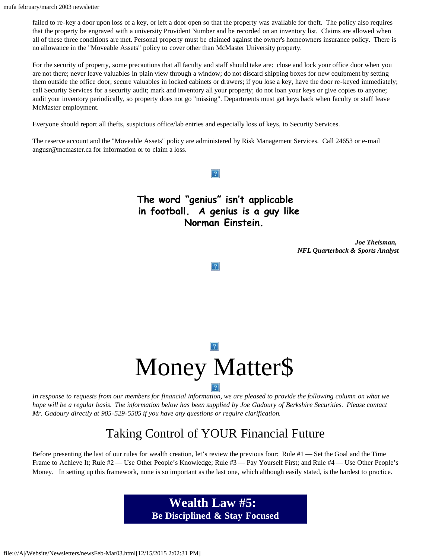failed to re-key a door upon loss of a key, or left a door open so that the property was available for theft. The policy also requires that the property be engraved with a university Provident Number and be recorded on an inventory list. Claims are allowed when all of these three conditions are met. Personal property must be claimed against the owner's homeowners insurance policy. There is no allowance in the "Moveable Assets" policy to cover other than McMaster University property.

For the security of property, some precautions that all faculty and staff should take are: close and lock your office door when you are not there; never leave valuables in plain view through a window; do not discard shipping boxes for new equipment by setting them outside the office door; secure valuables in locked cabinets or drawers; if you lose a key, have the door re-keyed immediately; call Security Services for a security audit; mark and inventory all your property; do not loan your keys or give copies to anyone; audit your inventory periodically, so property does not go "missing". Departments must get keys back when faculty or staff leave McMaster employment.

Everyone should report all thefts, suspicious office/lab entries and especially loss of keys, to Security Services.

The reserve account and the "Moveable Assets" policy are administered by Risk Management Services. Call 24653 or e-mail angusr@mcmaster.ca for information or to claim a loss.

> **The word "genius" isn't applicable in football. A genius is a guy like Norman Einstein.**

 $|2|$ 

*Joe Theisman, NFL Quarterback & Sports Analyst*

 $|2|$ 

# Money Matter\$

<span id="page-9-0"></span>*In response to requests from our members for financial information, we are pleased to provide the following column on what we hope will be a regular basis. The information below has been supplied by Joe Gadoury of Berkshire Securities. Please contact Mr. Gadoury directly at 905-529-5505 if you have any questions or require clarification.*

#### Taking Control of YOUR Financial Future

Before presenting the last of our rules for wealth creation, let's review the previous four: Rule #1 — Set the Goal and the Time Frame to Achieve It; Rule #2 — Use Other People's Knowledge; Rule #3 — Pay Yourself First; and Rule #4 — Use Other People's Money. In setting up this framework, none is so important as the last one, which although easily stated, is the hardest to practice.